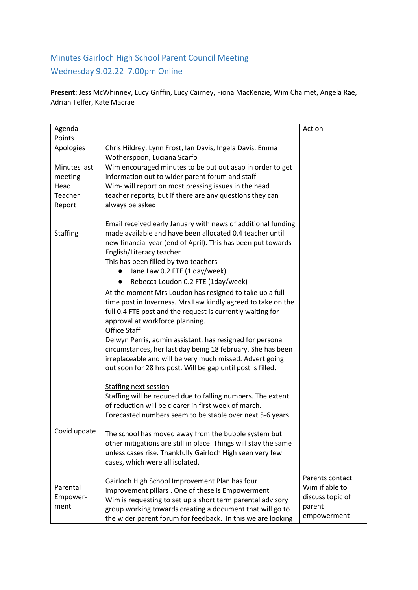## Minutes Gairloch High School Parent Council Meeting Wednesday 9.02.22 7.00pm Online

**Present:** Jess McWhinney, Lucy Griffin, Lucy Cairney, Fiona MacKenzie, Wim Chalmet, Angela Rae, Adrian Telfer, Kate Macrae

| Agenda<br>Points                     |                                                                                                                                                                                                                                                                                                                                                                                                                                                                                                                                                                                                                                                                                                                                                                                                                                         | Action                                                |
|--------------------------------------|-----------------------------------------------------------------------------------------------------------------------------------------------------------------------------------------------------------------------------------------------------------------------------------------------------------------------------------------------------------------------------------------------------------------------------------------------------------------------------------------------------------------------------------------------------------------------------------------------------------------------------------------------------------------------------------------------------------------------------------------------------------------------------------------------------------------------------------------|-------------------------------------------------------|
| Apologies                            | Chris Hildrey, Lynn Frost, Ian Davis, Ingela Davis, Emma                                                                                                                                                                                                                                                                                                                                                                                                                                                                                                                                                                                                                                                                                                                                                                                |                                                       |
|                                      | Wotherspoon, Luciana Scarfo                                                                                                                                                                                                                                                                                                                                                                                                                                                                                                                                                                                                                                                                                                                                                                                                             |                                                       |
| Minutes last                         | Wim encouraged minutes to be put out asap in order to get                                                                                                                                                                                                                                                                                                                                                                                                                                                                                                                                                                                                                                                                                                                                                                               |                                                       |
| meeting                              | information out to wider parent forum and staff                                                                                                                                                                                                                                                                                                                                                                                                                                                                                                                                                                                                                                                                                                                                                                                         |                                                       |
| Head                                 | Wim- will report on most pressing issues in the head                                                                                                                                                                                                                                                                                                                                                                                                                                                                                                                                                                                                                                                                                                                                                                                    |                                                       |
| Teacher                              | teacher reports, but if there are any questions they can                                                                                                                                                                                                                                                                                                                                                                                                                                                                                                                                                                                                                                                                                                                                                                                |                                                       |
| Report                               | always be asked                                                                                                                                                                                                                                                                                                                                                                                                                                                                                                                                                                                                                                                                                                                                                                                                                         |                                                       |
| <b>Staffing</b>                      | Email received early January with news of additional funding<br>made available and have been allocated 0.4 teacher until<br>new financial year (end of April). This has been put towards<br>English/Literacy teacher<br>This has been filled by two teachers<br>Jane Law 0.2 FTE (1 day/week)<br>Rebecca Loudon 0.2 FTE (1day/week)<br>At the moment Mrs Loudon has resigned to take up a full-<br>time post in Inverness. Mrs Law kindly agreed to take on the<br>full 0.4 FTE post and the request is currently waiting for<br>approval at workforce planning.<br>Office Staff<br>Delwyn Perris, admin assistant, has resigned for personal<br>circumstances, her last day being 18 february. She has been<br>irreplaceable and will be very much missed. Advert going<br>out soon for 28 hrs post. Will be gap until post is filled. |                                                       |
| Covid update<br>Parental<br>Empower- | Staffing next session<br>Staffing will be reduced due to falling numbers. The extent<br>of reduction will be clearer in first week of march.<br>Forecasted numbers seem to be stable over next 5-6 years<br>The school has moved away from the bubble system but<br>other mitigations are still in place. Things will stay the same<br>unless cases rise. Thankfully Gairloch High seen very few<br>cases, which were all isolated.<br>Gairloch High School Improvement Plan has four<br>improvement pillars. One of these is Empowerment<br>Wim is requesting to set up a short term parental advisory                                                                                                                                                                                                                                 | Parents contact<br>Wim if able to<br>discuss topic of |
| ment                                 | group working towards creating a document that will go to<br>the wider parent forum for feedback. In this we are looking                                                                                                                                                                                                                                                                                                                                                                                                                                                                                                                                                                                                                                                                                                                | parent<br>empowerment                                 |